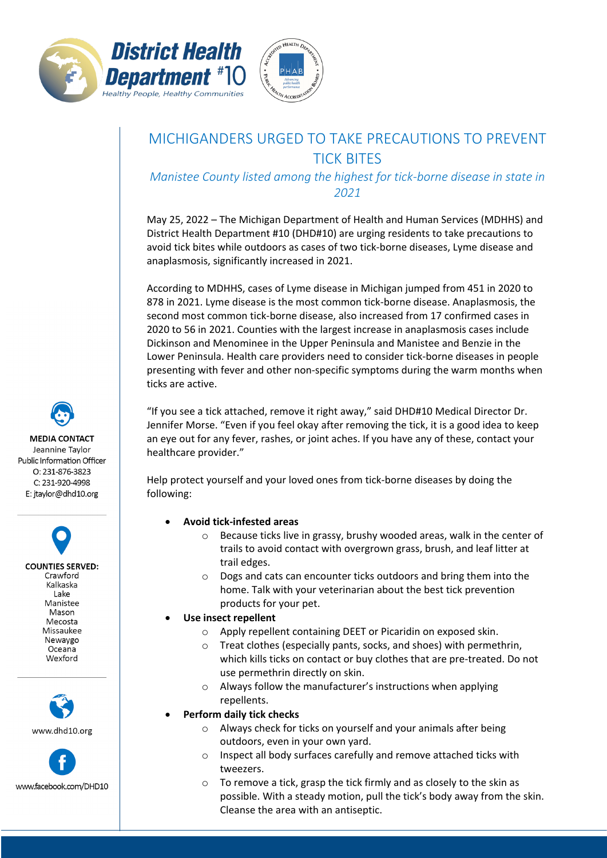



## MICHIGANDERS URGED TO TAKE PRECAUTIONS TO PREVENT TICK BITES

*Manistee County listed among the highest for tick-borne disease in state in 2021*

May 25, 2022 – The Michigan Department of Health and Human Services (MDHHS) and District Health Department #10 (DHD#10) are urging residents to take precautions to avoid tick bites while outdoors as cases of two tick-borne diseases, Lyme disease and anaplasmosis, significantly increased in 2021.

According to MDHHS, cases of Lyme disease in Michigan jumped from 451 in 2020 to 878 in 2021. Lyme disease is the most common tick-borne disease. Anaplasmosis, the second most common tick-borne disease, also increased from 17 confirmed cases in 2020 to 56 in 2021. Counties with the largest increase in anaplasmosis cases include Dickinson and Menominee in the Upper Peninsula and Manistee and Benzie in the Lower Peninsula. Health care providers need to consider tick-borne diseases in people presenting with fever and other non-specific symptoms during the warm months when ticks are active.

"If you see a tick attached, remove it right away," said DHD#10 Medical Director Dr. Jennifer Morse. "Even if you feel okay after removing the tick, it is a good idea to keep an eye out for any fever, rashes, or joint aches. If you have any of these, contact your healthcare provider."

Help protect yourself and your loved ones from tick-borne diseases by doing the following:

- **Avoid tick-infested areas** 
	- o Because ticks live in grassy, brushy wooded areas, walk in the center of trails to avoid contact with overgrown grass, brush, and leaf litter at trail edges.
	- o Dogs and cats can encounter ticks outdoors and bring them into the home. Talk with your veterinarian about the best tick prevention products for your pet.
- **Use insect repellent** 
	- o Apply repellent containing DEET or Picaridin on exposed skin.
	- o Treat clothes (especially pants, socks, and shoes) with permethrin, which kills ticks on contact or buy clothes that are pre-treated. Do not use permethrin directly on skin.
	- o Always follow the manufacturer's instructions when applying repellents.

## • **Perform daily tick checks**

- o Always check for ticks on yourself and your animals after being outdoors, even in your own yard.
- o Inspect all body surfaces carefully and remove attached ticks with tweezers.
- o To remove a tick, grasp the tick firmly and as closely to the skin as possible. With a steady motion, pull the tick's body away from the skin. Cleanse the area with an antiseptic.

**MEDIA CONTACT** Jeannine Taylor Public Information Officer  $O: 231 - 876 - 3823$ C: 231-920-4998 E: jtaylor@dhd10.org

**COUNTIES SERVED:** Crawford Kalkaska Lake Manistee Mason Mecosta Missaukee Newaygo Oceana Wexford